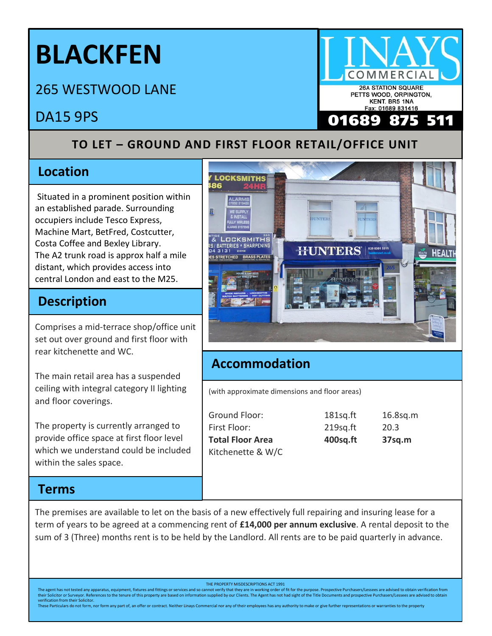# **BLACKFEN**

265 WESTWOOD LANE

## DA15 9PS

#### **TO LET – GROUND AND FIRST FLOOR RETAIL/OFFICE UNIT**

#### **Location**

Situated in a prominent position within an established parade. Surrounding occupiers include Tesco Express, Machine Mart, BetFred, Costcutter, Costa Coffee and Bexley Library. The A2 trunk road is approx half a mile distant, which provides access into central London and east to the M25.

### **Description**

Comprises a mid-terrace shop/office unit set out over ground and first floor with rear kitchenette and WC.

The main retail area has a suspended ceiling with integral category II lighting and floor coverings.

The property is currently arranged to provide office space at first floor level which we understand could be included within the sales space.

#### **Terms**

The premises are available to let on the basis of a new effectively full repairing and insuring lease for a term of years to be agreed at a commencing rent of **£14,000 per annum exclusive**. A rental deposit to the sum of 3 (Three) months rent is to be held by the Landlord. All rents are to be paid quarterly in advance.

THE PROPERTY MISDESCRIPTIONS ACT 1991

The agent has not tested any apparatus, equipment, fixtures and fittings or services and so cannot verify that they are in working order of fit for the purpose. Prospective Purchasers/Lessees are advised to obtain verifica their Solicitor or Surveyor. References to the tenure of this property are based on information supplied by our Clients. The Agent has not had sight of the Title Documents and prospective Purchasers/Lessees are advised to verification from their Solicito

These Particulars do not form, nor form any part of, an offer or contract. Neither Linays Commercial nor any of their employees has any authority to make or give further representations or warranties to the property

**26A STATION SQUARE** KENT. BR5 1NA Fax: 01689 831416 689



#### **Accommodation**

(with approximate dimensions and floor areas)

| Ground Floor:           | 181sg.ft    | 16.8sq.m |
|-------------------------|-------------|----------|
| First Floor:            | $219$ sq.ft | 20.3     |
| <b>Total Floor Area</b> | 400sq.ft    | 37sq.m   |
| Kitchenette & W/C       |             |          |